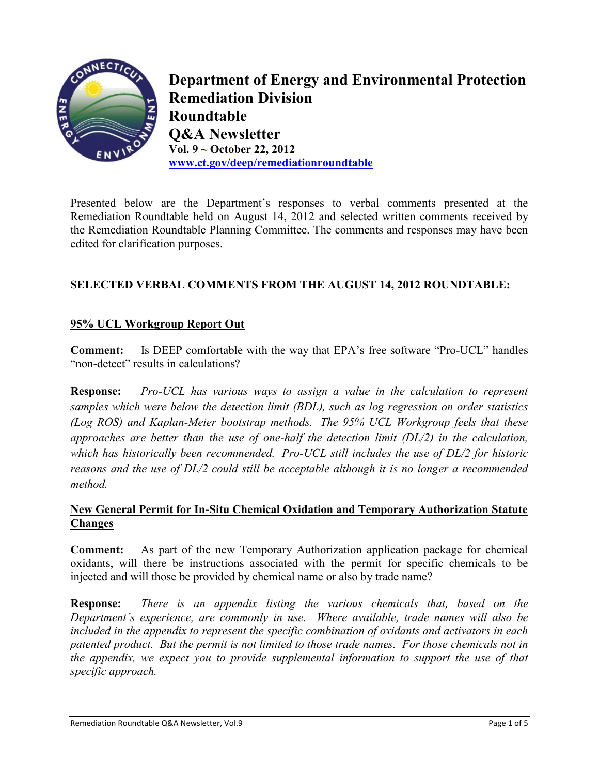

**Department of Energy and Environmental Protection Remediation Division Roundtable Q&A Newsletter Vol. 9 ~ October 22, 2012 <www.ct.gov/deep/remediationroundtable>**

Presented below are the Department's responses to verbal comments presented at the Remediation Roundtable held on August 14, 2012 and selected written comments received by the Remediation Roundtable Planning Committee. The comments and responses may have been edited for clarification purposes.

# **SELECTED VERBAL COMMENTS FROM THE AUGUST 14, 2012 ROUNDTABLE:**

### **95% UCL Workgroup Report Out**

**Comment:** Is DEEP comfortable with the way that EPA's free software "Pro-UCL" handles "non-detect" results in calculations?

**Response:** *Pro-UCL has various ways to assign a value in the calculation to represent samples which were below the detection limit (BDL), such as log regression on order statistics (Log ROS) and Kaplan-Meier bootstrap methods. The 95% UCL Workgroup feels that these approaches are better than the use of one-half the detection limit (DL/2) in the calculation, which has historically been recommended. Pro-UCL still includes the use of DL/2 for historic reasons and the use of DL/2 could still be acceptable although it is no longer a recommended method.*

### **New General Permit for In-Situ Chemical Oxidation and Temporary Authorization Statute Changes**

**Comment:** As part of the new Temporary Authorization application package for chemical oxidants, will there be instructions associated with the permit for specific chemicals to be injected and will those be provided by chemical name or also by trade name?

**Response:** *There is an appendix listing the various chemicals that, based on the Department's experience, are commonly in use. Where available, trade names will also be included in the appendix to represent the specific combination of oxidants and activators in each patented product. But the permit is not limited to those trade names. For those chemicals not in the appendix, we expect you to provide supplemental information to support the use of that specific approach.*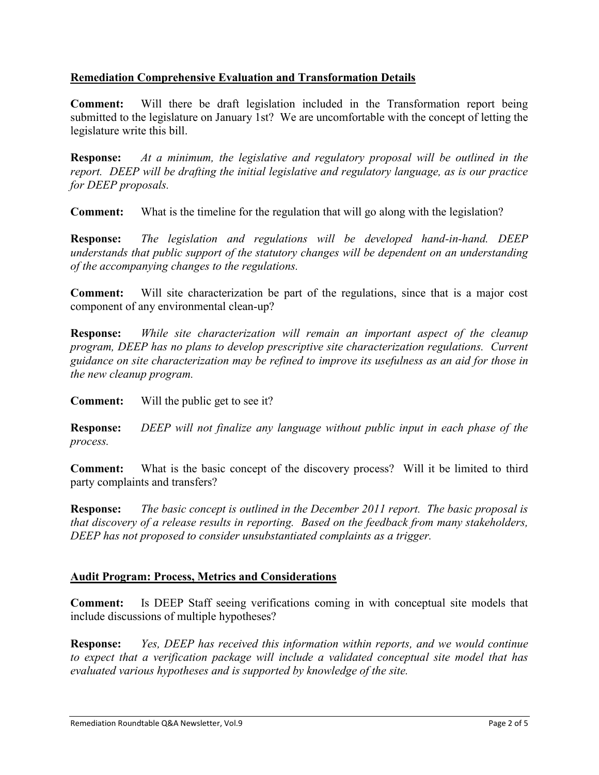#### **Remediation Comprehensive Evaluation and Transformation Details**

**Comment:** Will there be draft legislation included in the Transformation report being submitted to the legislature on January 1st? We are uncomfortable with the concept of letting the legislature write this bill.

**Response:** *At a minimum, the legislative and regulatory proposal will be outlined in the report. DEEP will be drafting the initial legislative and regulatory language, as is our practice for DEEP proposals.*

**Comment:** What is the timeline for the regulation that will go along with the legislation?

**Response:** *The legislation and regulations will be developed hand-in-hand. DEEP understands that public support of the statutory changes will be dependent on an understanding of the accompanying changes to the regulations.*

**Comment:** Will site characterization be part of the regulations, since that is a major cost component of any environmental clean-up?

**Response:** *While site characterization will remain an important aspect of the cleanup program, DEEP has no plans to develop prescriptive site characterization regulations. Current guidance on site characterization may be refined to improve its usefulness as an aid for those in the new cleanup program.*

**Comment:** Will the public get to see it?

**Response:** *DEEP will not finalize any language without public input in each phase of the process.*

**Comment:** What is the basic concept of the discovery process? Will it be limited to third party complaints and transfers?

**Response:** *The basic concept is outlined in the December 2011 report. The basic proposal is that discovery of a release results in reporting. Based on the feedback from many stakeholders, DEEP has not proposed to consider unsubstantiated complaints as a trigger.*

## **Audit Program: Process, Metrics and Considerations**

**Comment:** Is DEEP Staff seeing verifications coming in with conceptual site models that include discussions of multiple hypotheses?

**Response:** *Yes, DEEP has received this information within reports, and we would continue to expect that a verification package will include a validated conceptual site model that has evaluated various hypotheses and is supported by knowledge of the site.*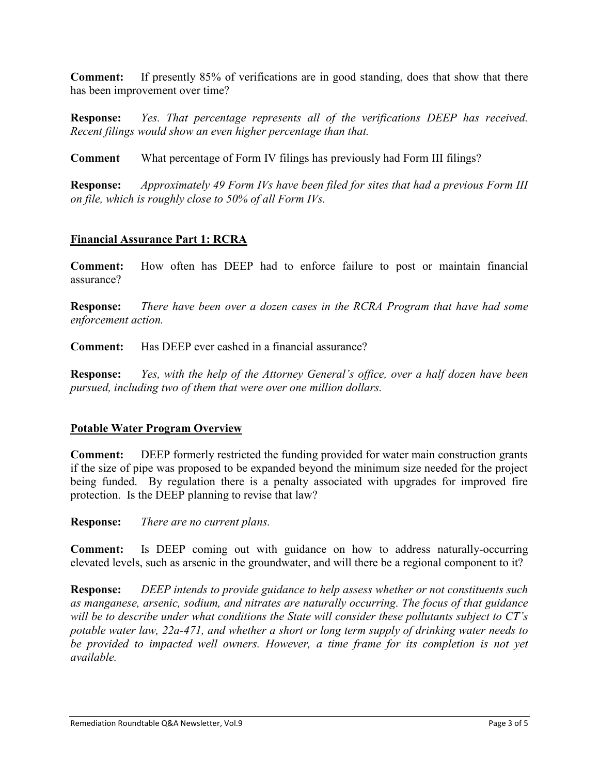**Comment:** If presently 85% of verifications are in good standing, does that show that there has been improvement over time?

**Response:** *Yes. That percentage represents all of the verifications DEEP has received. Recent filings would show an even higher percentage than that.*

**Comment** What percentage of Form IV filings has previously had Form III filings?

**Response:** *Approximately 49 Form IVs have been filed for sites that had a previous Form III on file, which is roughly close to 50% of all Form IVs.*

## **Financial Assurance Part 1: RCRA**

**Comment:** How often has DEEP had to enforce failure to post or maintain financial assurance?

**Response:** *There have been over a dozen cases in the RCRA Program that have had some enforcement action.*

**Comment:** Has DEEP ever cashed in a financial assurance?

**Response:** *Yes, with the help of the Attorney General's office, over a half dozen have been pursued, including two of them that were over one million dollars.*

#### **Potable Water Program Overview**

**Comment:** DEEP formerly restricted the funding provided for water main construction grants if the size of pipe was proposed to be expanded beyond the minimum size needed for the project being funded. By regulation there is a penalty associated with upgrades for improved fire protection. Is the DEEP planning to revise that law?

**Response:** *There are no current plans.*

**Comment:** Is DEEP coming out with guidance on how to address naturally-occurring elevated levels, such as arsenic in the groundwater, and will there be a regional component to it?

**Response:** *DEEP intends to provide guidance to help assess whether or not constituents such as manganese, arsenic, sodium, and nitrates are naturally occurring. The focus of that guidance will be to describe under what conditions the State will consider these pollutants subject to CT's potable water law, 22a-471, and whether a short or long term supply of drinking water needs to be provided to impacted well owners. However, a time frame for its completion is not yet available.*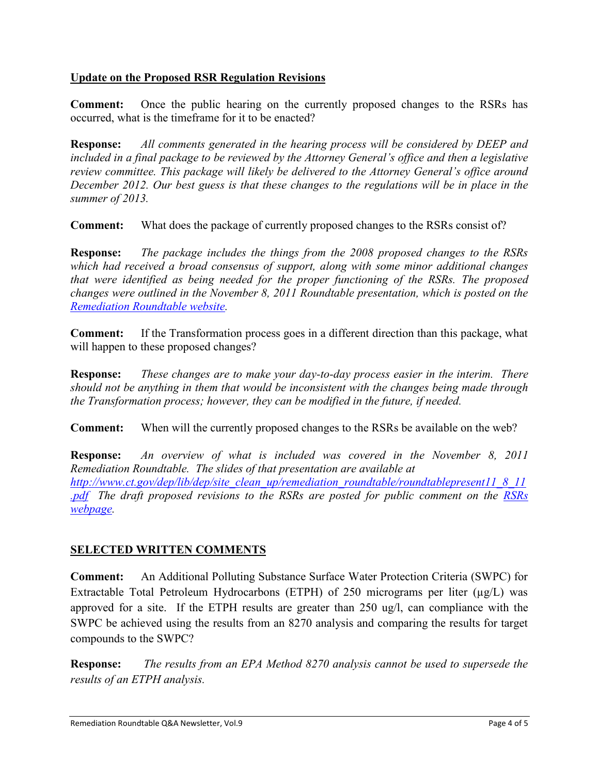#### **Update on the Proposed RSR Regulation Revisions**

**Comment:** Once the public hearing on the currently proposed changes to the RSRs has occurred, what is the timeframe for it to be enacted?

**Response:** *All comments generated in the hearing process will be considered by DEEP and included in a final package to be reviewed by the Attorney General's office and then a legislative review committee. This package will likely be delivered to the Attorney General's office around December 2012. Our best guess is that these changes to the regulations will be in place in the summer of 2013.*

**Comment:** What does the package of currently proposed changes to the RSRs consist of?

**Response:** *The package includes the things from the 2008 proposed changes to the RSRs which had received a broad consensus of support, along with some minor additional changes that were identified as being needed for the proper functioning of the RSRs. The proposed changes were outlined in the November 8, 2011 Roundtable presentation, which is posted on the [Remediation Roundtable website.](http://www.ct.gov/deep/remediationroundtable)*

**Comment:** If the Transformation process goes in a different direction than this package, what will happen to these proposed changes?

**Response:** *These changes are to make your day-to-day process easier in the interim. There should not be anything in them that would be inconsistent with the changes being made through the Transformation process; however, they can be modified in the future, if needed.*

**Comment:** When will the currently proposed changes to the RSRs be available on the web?

**Response:** *An overview of what is included was covered in the November 8, 2011 Remediation Roundtable. The slides of that presentation are available at [http://www.ct.gov/dep/lib/dep/site\\_clean\\_up/remediation\\_roundtable/roundtablepresent11\\_8\\_11](http://www.ct.gov/dep/lib/dep/site_clean_up/remediation_roundtable/roundtablepresent11_8_11.pdf) [.pdf](http://www.ct.gov/dep/lib/dep/site_clean_up/remediation_roundtable/roundtablepresent11_8_11.pdf) The draft proposed revisions to the RSRs are posted for public comment on the [RSRs](http://www.ct.gov/dep/cwp/view.asp?a=2715&q=325012&depNav_GID=1626)  [webpage.](http://www.ct.gov/dep/cwp/view.asp?a=2715&q=325012&depNav_GID=1626)*

## **SELECTED WRITTEN COMMENTS**

**Comment:** An Additional Polluting Substance Surface Water Protection Criteria (SWPC) for Extractable Total Petroleum Hydrocarbons (ETPH) of 250 micrograms per liter  $(\mu g/L)$  was approved for a site. If the ETPH results are greater than 250 ug/l, can compliance with the SWPC be achieved using the results from an 8270 analysis and comparing the results for target compounds to the SWPC?

**Response:** *The results from an EPA Method 8270 analysis cannot be used to supersede the results of an ETPH analysis.*